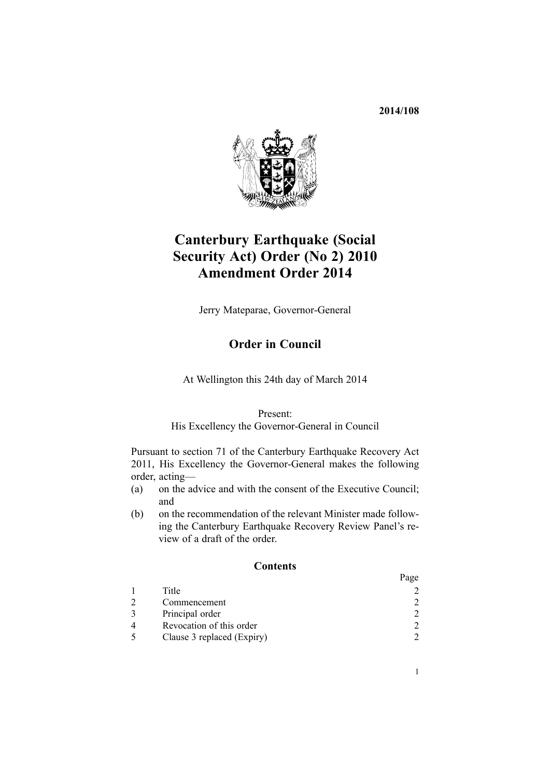**2014/108**



# **Canterbury Earthquake (Social Security Act) Order (No 2) 2010 Amendment Order 2014**

Jerry Mateparae, Governor-General

# **Order in Council**

At Wellington this 24th day of March 2014

### Present:

### His Excellency the Governor-General in Council

Pursuant to [section](http://prd-lgnz-nlb.prd.pco.net.nz/pdflink.aspx?id=DLM3570826) 71 of the Canterbury Earthquake Recovery Act 2011, His Excellency the Governor-General makes the following order, acting—

- (a) on the advice and with the consent of the Executive Council; and
- (b) on the recommendation of the relevant Minister made following the Canterbury Earthquake Recovery Review Panel's review of <sup>a</sup> draft of the order.

## **Contents**

|                            | Page                        |
|----------------------------|-----------------------------|
| Title                      |                             |
| Commencement               | $\mathcal{D}_{\mathcal{L}}$ |
| Principal order            | $\mathcal{D}_{\mathcal{L}}$ |
| Revocation of this order   |                             |
| Clause 3 replaced (Expiry) |                             |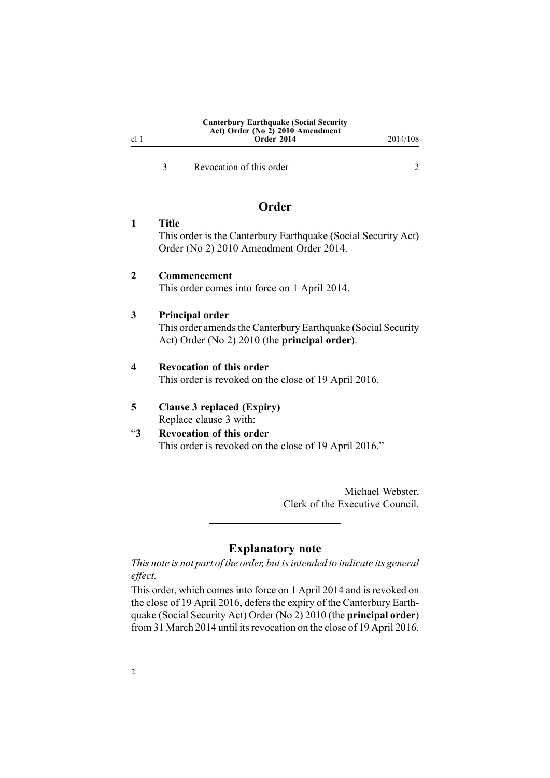## **Canterbury Earthquake (Social Security Act) Order (No 2) 2010 Amendment Order 2014** 2014/108

<span id="page-1-0"></span>3 Revocation of this order 2

## **Order**

**1 Title** This order is the Canterbury Earthquake (Social Security Act) Order (No 2) 2010 Amendment Order 2014.

## **2 Commencement**

This order comes into force on 1 April 2014.

#### **3 Principal order**

This order amends the Canterbury [Earthquake](http://prd-lgnz-nlb.prd.pco.net.nz/pdflink.aspx?id=DLM3445300) (Social Security Act) [Order](http://prd-lgnz-nlb.prd.pco.net.nz/pdflink.aspx?id=DLM3445300) (No 2) 2010 (the **principal order**).

#### **4 Revocation of this order**

This order is revoked on the close of 19 April 2016.

### **5 Clause 3 replaced (Expiry)** Replace [clause](http://prd-lgnz-nlb.prd.pco.net.nz/pdflink.aspx?id=DLM3445306) 3 with:

## "**3 Revocation of this order** This order is revoked on the close of 19 April 2016."

Michael Webster, Clerk of the Executive Council.

## **Explanatory note**

*This note is not par<sup>t</sup> of the order, but isintended to indicate its general effect.*

This order, which comes into force on 1 April 2014 and is revoked on the close of 19 April 2016, defers the expiry of the [Canterbury](http://prd-lgnz-nlb.prd.pco.net.nz/pdflink.aspx?id=DLM3445300) Earthquake (Social [Security](http://prd-lgnz-nlb.prd.pco.net.nz/pdflink.aspx?id=DLM3445300) Act) Order (No 2) 2010 (the **principal order**) from 31 March 2014 until its revocation on the close of 19 April 2016.